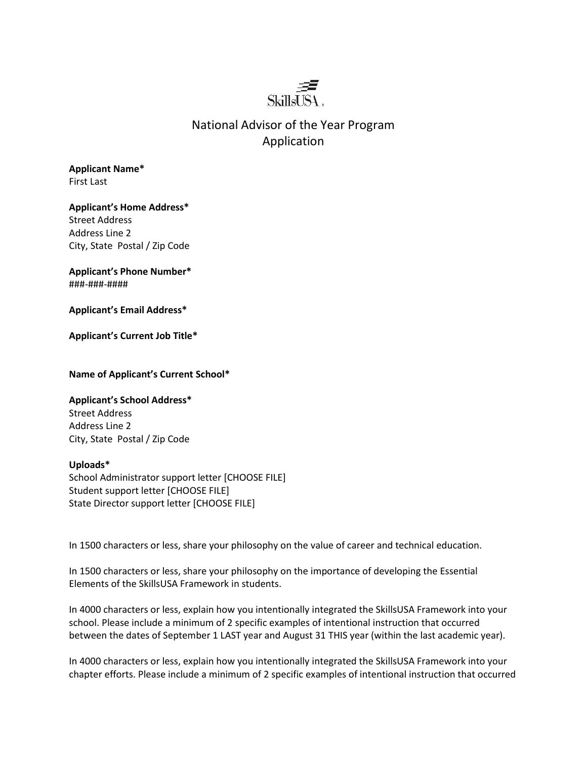

## National Advisor of the Year Program Application

**Applicant Name\*** First Last

**Applicant's Home Address\*** Street Address Address Line 2 City, State Postal / Zip Code

**Applicant's Phone Number\*** ###-###-####

**Applicant's Email Address\***

**Applicant's Current Job Title\***

**Name of Applicant's Current School\***

## **Applicant's School Address\***

Street Address Address Line 2 City, State Postal / Zip Code

## **Uploads\***

School Administrator support letter [CHOOSE FILE] Student support letter [CHOOSE FILE] State Director support letter [CHOOSE FILE]

In 1500 characters or less, share your philosophy on the value of career and technical education.

In 1500 characters or less, share your philosophy on the importance of developing the Essential Elements of the SkillsUSA Framework in students.

In 4000 characters or less, explain how you intentionally integrated the SkillsUSA Framework into your school. Please include a minimum of 2 specific examples of intentional instruction that occurred between the dates of September 1 LAST year and August 31 THIS year (within the last academic year).

In 4000 characters or less, explain how you intentionally integrated the SkillsUSA Framework into your chapter efforts. Please include a minimum of 2 specific examples of intentional instruction that occurred